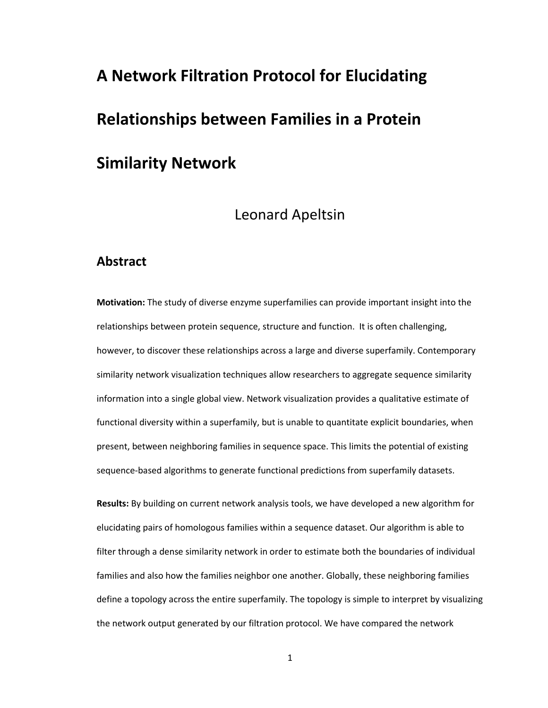# **A Network Filtration Protocol for Elucidating Relationships between Families in a Protein**

# **Similarity Network**

# Leonard Apeltsin

# **Abstract**

**Motivation:** The study of diverse enzyme superfamilies can provide important insight into the relationships between protein sequence, structure and function. It is often challenging, however, to discover these relationships across a large and diverse superfamily. Contemporary similarity network visualization techniques allow researchers to aggregate sequence similarity information into a single global view. Network visualization provides a qualitative estimate of functional diversity within a superfamily, but is unable to quantitate explicit boundaries, when present, between neighboring families in sequence space. This limits the potential of existing sequence-based algorithms to generate functional predictions from superfamily datasets.

**Results:** By building on current network analysis tools, we have developed a new algorithm for elucidating pairs of homologous families within a sequence dataset. Our algorithm is able to filter through a dense similarity network in order to estimate both the boundaries of individual families and also how the families neighbor one another. Globally, these neighboring families define a topology across the entire superfamily. The topology is simple to interpret by visualizing the network output generated by our filtration protocol. We have compared the network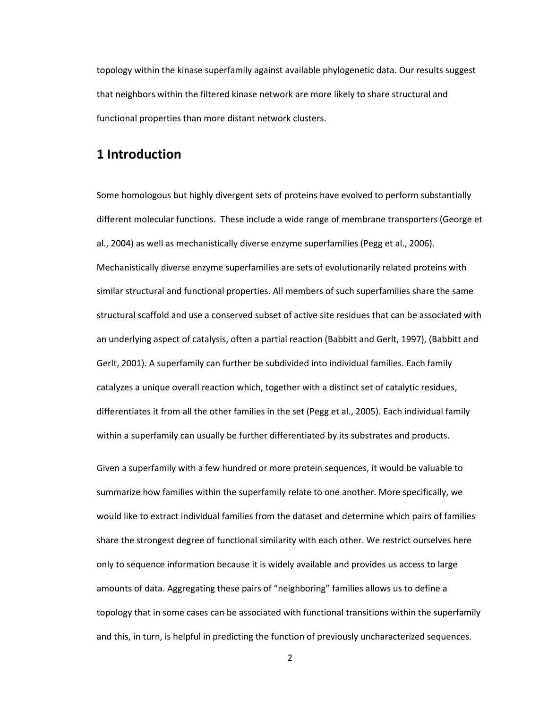topology within the kinase superfamily against available phylogenetic data. Our results suggest that neighbors within the filtered kinase network are more likely to share structural and functional properties than more distant network clusters.

# **1 Introduction**

Some homologous but highly divergent sets of proteins have evolved to perform substantially different molecular functions. These include a wide range of membrane transporters (George et al., 2004) as well as mechanistically diverse enzyme superfamilies (Pegg et al., 2006). Mechanistically diverse enzyme superfamilies are sets of evolutionarily related proteins with similar structural and functional properties. All members of such superfamilies share the same structural scaffold and use a conserved subset of active site residues that can be associated with an underlying aspect of catalysis, often a partial reaction (Babbitt and Gerlt, 1997), (Babbitt and Gerlt, 2001). A superfamily can further be subdivided into individual families. Each family catalyzes a unique overall reaction which, together with a distinct set of catalytic residues, differentiates it from all the other families in the set (Pegg et al., 2005). Each individual family within a superfamily can usually be further differentiated by its substrates and products.

Given a superfamily with a few hundred or more protein sequences, it would be valuable to summarize how families within the superfamily relate to one another. More specifically, we would like to extract individual families from the dataset and determine which pairs of families share the strongest degree of functional similarity with each other. We restrict ourselves here only to sequence information because it is widely available and provides us access to large amounts of data. Aggregating these pairs of "neighboring" families allows us to define a topology that in some cases can be associated with functional transitions within the superfamily and this, in turn, is helpful in predicting the function of previously uncharacterized sequences.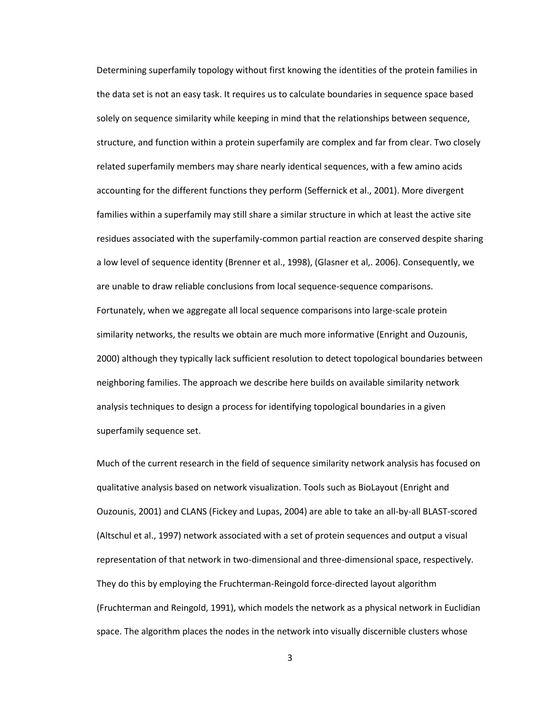Determining superfamily topology without first knowing the identities of the protein families in the data set is not an easy task. It requires us to calculate boundaries in sequence space based solely on sequence similarity while keeping in mind that the relationships between sequence, structure, and function within a protein superfamily are complex and far from clear. Two closely related superfamily members may share nearly identical sequences, with a few amino acids accounting for the different functions they perform (Seffernick et al., 2001). More divergent families within a superfamily may still share a similar structure in which at least the active site residues associated with the superfamily-common partial reaction are conserved despite sharing a low level of sequence identity (Brenner et al., 1998), (Glasner et al,. 2006). Consequently, we are unable to draw reliable conclusions from local sequence-sequence comparisons. Fortunately, when we aggregate all local sequence comparisons into large-scale protein similarity networks, the results we obtain are much more informative (Enright and Ouzounis, 2000) although they typically lack sufficient resolution to detect topological boundaries between neighboring families. The approach we describe here builds on available similarity network analysis techniques to design a process for identifying topological boundaries in a given superfamily sequence set.

Much of the current research in the field of sequence similarity network analysis has focused on qualitative analysis based on network visualization. Tools such as BioLayout (Enright and Ouzounis, 2001) and CLANS (Fickey and Lupas, 2004) are able to take an all-by-all BLAST-scored (Altschul et al., 1997) network associated with a set of protein sequences and output a visual representation of that network in two-dimensional and three-dimensional space, respectively. They do this by employing the Fruchterman-Reingold force-directed layout algorithm (Fruchterman and Reingold, 1991), which models the network as a physical network in Euclidian space. The algorithm places the nodes in the network into visually discernible clusters whose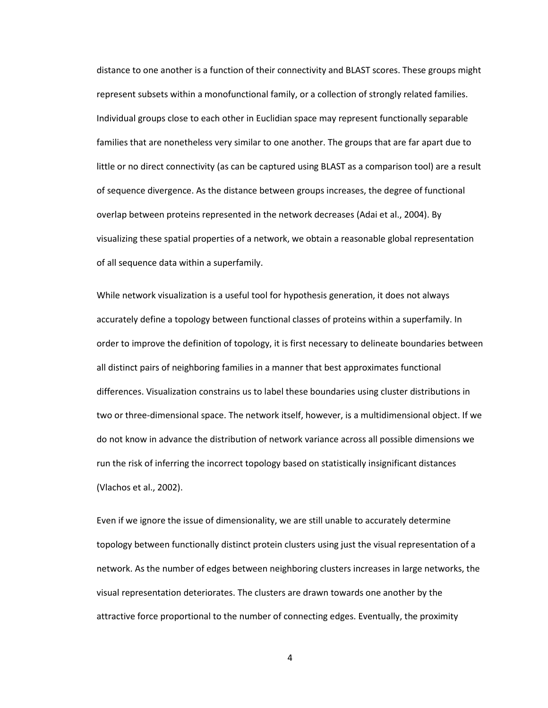distance to one another is a function of their connectivity and BLAST scores. These groups might represent subsets within a monofunctional family, or a collection of strongly related families. Individual groups close to each other in Euclidian space may represent functionally separable families that are nonetheless very similar to one another. The groups that are far apart due to little or no direct connectivity (as can be captured using BLAST as a comparison tool) are a result of sequence divergence. As the distance between groups increases, the degree of functional overlap between proteins represented in the network decreases (Adai et al., 2004). By visualizing these spatial properties of a network, we obtain a reasonable global representation of all sequence data within a superfamily.

While network visualization is a useful tool for hypothesis generation, it does not always accurately define a topology between functional classes of proteins within a superfamily. In order to improve the definition of topology, it is first necessary to delineate boundaries between all distinct pairs of neighboring families in a manner that best approximates functional differences. Visualization constrains us to label these boundaries using cluster distributions in two or three-dimensional space. The network itself, however, is a multidimensional object. If we do not know in advance the distribution of network variance across all possible dimensions we run the risk of inferring the incorrect topology based on statistically insignificant distances (Vlachos et al., 2002).

Even if we ignore the issue of dimensionality, we are still unable to accurately determine topology between functionally distinct protein clusters using just the visual representation of a network. As the number of edges between neighboring clusters increases in large networks, the visual representation deteriorates. The clusters are drawn towards one another by the attractive force proportional to the number of connecting edges. Eventually, the proximity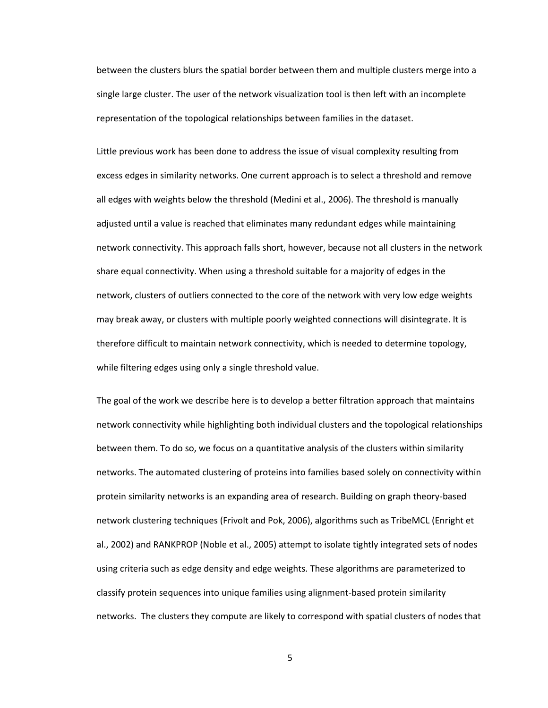between the clusters blurs the spatial border between them and multiple clusters merge into a single large cluster. The user of the network visualization tool is then left with an incomplete representation of the topological relationships between families in the dataset.

Little previous work has been done to address the issue of visual complexity resulting from excess edges in similarity networks. One current approach is to select a threshold and remove all edges with weights below the threshold (Medini et al., 2006). The threshold is manually adjusted until a value is reached that eliminates many redundant edges while maintaining network connectivity. This approach falls short, however, because not all clusters in the network share equal connectivity. When using a threshold suitable for a majority of edges in the network, clusters of outliers connected to the core of the network with very low edge weights may break away, or clusters with multiple poorly weighted connections will disintegrate. It is therefore difficult to maintain network connectivity, which is needed to determine topology, while filtering edges using only a single threshold value.

The goal of the work we describe here is to develop a better filtration approach that maintains network connectivity while highlighting both individual clusters and the topological relationships between them. To do so, we focus on a quantitative analysis of the clusters within similarity networks. The automated clustering of proteins into families based solely on connectivity within protein similarity networks is an expanding area of research. Building on graph theory-based network clustering techniques (Frivolt and Pok, 2006), algorithms such as TribeMCL (Enright et al., 2002) and RANKPROP (Noble et al., 2005) attempt to isolate tightly integrated sets of nodes using criteria such as edge density and edge weights. These algorithms are parameterized to classify protein sequences into unique families using alignment-based protein similarity networks. The clusters they compute are likely to correspond with spatial clusters of nodes that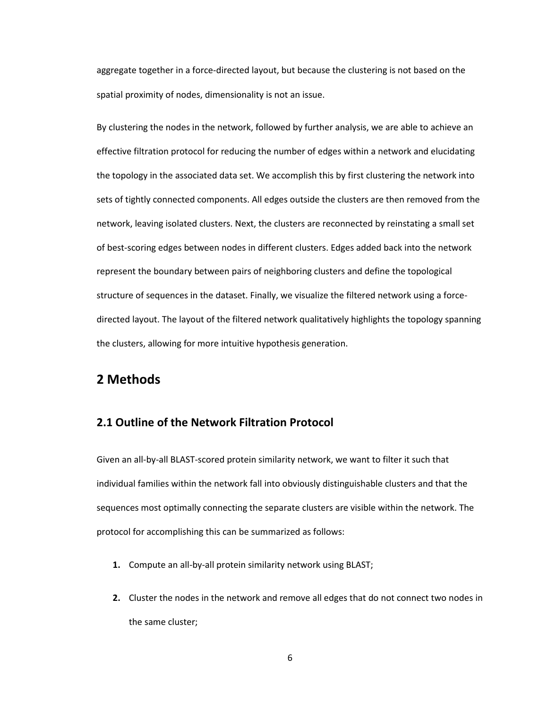aggregate together in a force-directed layout, but because the clustering is not based on the spatial proximity of nodes, dimensionality is not an issue.

By clustering the nodes in the network, followed by further analysis, we are able to achieve an effective filtration protocol for reducing the number of edges within a network and elucidating the topology in the associated data set. We accomplish this by first clustering the network into sets of tightly connected components. All edges outside the clusters are then removed from the network, leaving isolated clusters. Next, the clusters are reconnected by reinstating a small set of best-scoring edges between nodes in different clusters. Edges added back into the network represent the boundary between pairs of neighboring clusters and define the topological structure of sequences in the dataset. Finally, we visualize the filtered network using a forcedirected layout. The layout of the filtered network qualitatively highlights the topology spanning the clusters, allowing for more intuitive hypothesis generation.

# **2 Methods**

## **2.1 Outline of the Network Filtration Protocol**

Given an all-by-all BLAST-scored protein similarity network, we want to filter it such that individual families within the network fall into obviously distinguishable clusters and that the sequences most optimally connecting the separate clusters are visible within the network. The protocol for accomplishing this can be summarized as follows:

- **1.** Compute an all-by-all protein similarity network using BLAST;
- **2.** Cluster the nodes in the network and remove all edges that do not connect two nodes in the same cluster;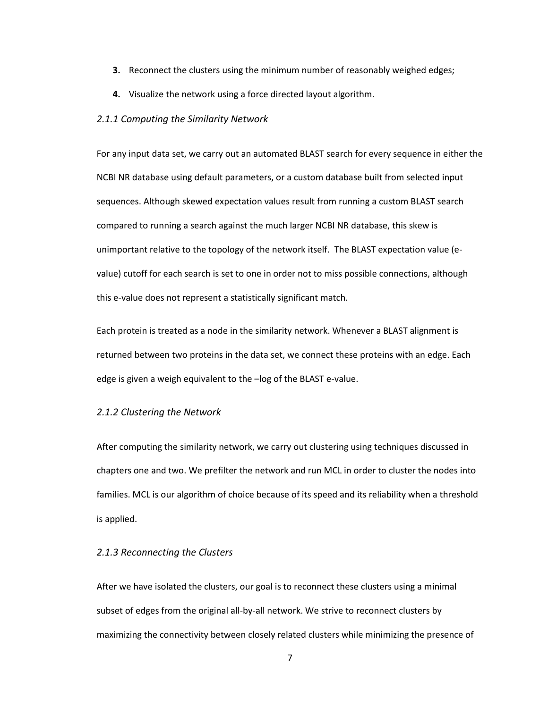- **3.** Reconnect the clusters using the minimum number of reasonably weighed edges;
- **4.** Visualize the network using a force directed layout algorithm.

#### *2.1.1 Computing the Similarity Network*

For any input data set, we carry out an automated BLAST search for every sequence in either the NCBI NR database using default parameters, or a custom database built from selected input sequences. Although skewed expectation values result from running a custom BLAST search compared to running a search against the much larger NCBI NR database, this skew is unimportant relative to the topology of the network itself. The BLAST expectation value (evalue) cutoff for each search is set to one in order not to miss possible connections, although this e-value does not represent a statistically significant match.

Each protein is treated as a node in the similarity network. Whenever a BLAST alignment is returned between two proteins in the data set, we connect these proteins with an edge. Each edge is given a weigh equivalent to the –log of the BLAST e-value.

#### *2.1.2 Clustering the Network*

After computing the similarity network, we carry out clustering using techniques discussed in chapters one and two. We prefilter the network and run MCL in order to cluster the nodes into families. MCL is our algorithm of choice because of its speed and its reliability when a threshold is applied.

#### *2.1.3 Reconnecting the Clusters*

After we have isolated the clusters, our goal is to reconnect these clusters using a minimal subset of edges from the original all-by-all network. We strive to reconnect clusters by maximizing the connectivity between closely related clusters while minimizing the presence of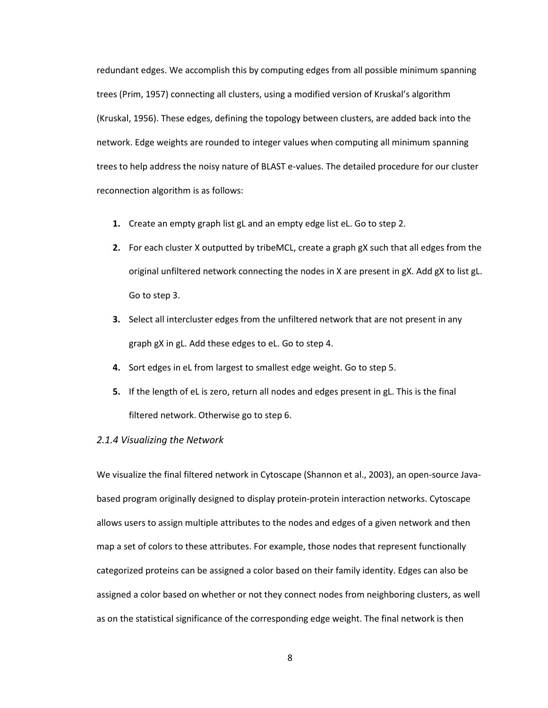redundant edges. We accomplish this by computing edges from all possible minimum spanning trees (Prim, 1957) connecting all clusters, using a modified version of Kruskal's algorithm (Kruskal, 1956). These edges, defining the topology between clusters, are added back into the network. Edge weights are rounded to integer values when computing all minimum spanning trees to help address the noisy nature of BLAST e-values. The detailed procedure for our cluster reconnection algorithm is as follows:

- **1.** Create an empty graph list gL and an empty edge list eL. Go to step 2.
- **2.** For each cluster X outputted by tribeMCL, create a graph gX such that all edges from the original unfiltered network connecting the nodes in X are present in gX. Add gX to list gL. Go to step 3.
- **3.** Select all intercluster edges from the unfiltered network that are not present in any graph gX in gL. Add these edges to eL. Go to step 4.
- **4.** Sort edges in eL from largest to smallest edge weight. Go to step 5.
- **5.** If the length of eL is zero, return all nodes and edges present in gL. This is the final filtered network. Otherwise go to step 6.

#### *2.1.4 Visualizing the Network*

We visualize the final filtered network in Cytoscape (Shannon et al., 2003), an open-source Javabased program originally designed to display protein-protein interaction networks. Cytoscape allows users to assign multiple attributes to the nodes and edges of a given network and then map a set of colors to these attributes. For example, those nodes that represent functionally categorized proteins can be assigned a color based on their family identity. Edges can also be assigned a color based on whether or not they connect nodes from neighboring clusters, as well as on the statistical significance of the corresponding edge weight. The final network is then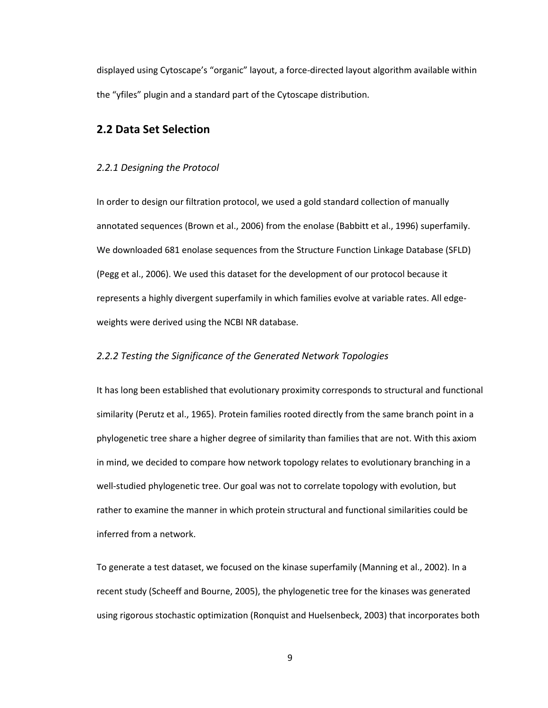displayed using Cytoscape's "organic" layout, a force-directed layout algorithm available within the "yfiles" plugin and a standard part of the Cytoscape distribution.

## **2.2 Data Set Selection**

#### *2.2.1 Designing the Protocol*

In order to design our filtration protocol, we used a gold standard collection of manually annotated sequences (Brown et al., 2006) from the enolase (Babbitt et al., 1996) superfamily. We downloaded 681 enolase sequences from the Structure Function Linkage Database (SFLD) (Pegg et al., 2006). We used this dataset for the development of our protocol because it represents a highly divergent superfamily in which families evolve at variable rates. All edgeweights were derived using the NCBI NR database.

#### *2.2.2 Testing the Significance of the Generated Network Topologies*

It has long been established that evolutionary proximity corresponds to structural and functional similarity (Perutz et al., 1965). Protein families rooted directly from the same branch point in a phylogenetic tree share a higher degree of similarity than families that are not. With this axiom in mind, we decided to compare how network topology relates to evolutionary branching in a well-studied phylogenetic tree. Our goal was not to correlate topology with evolution, but rather to examine the manner in which protein structural and functional similarities could be inferred from a network.

To generate a test dataset, we focused on the kinase superfamily (Manning et al., 2002). In a recent study (Scheeff and Bourne, 2005), the phylogenetic tree for the kinases was generated using rigorous stochastic optimization (Ronquist and Huelsenbeck, 2003) that incorporates both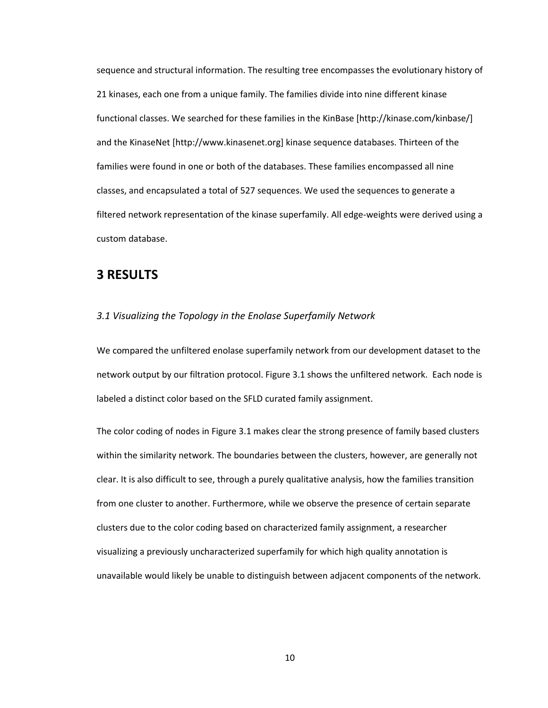sequence and structural information. The resulting tree encompasses the evolutionary history of 21 kinases, each one from a unique family. The families divide into nine different kinase functional classes. We searched for these families in the KinBase [http://kinase.com/kinbase/] and the KinaseNet [http://www.kinasenet.org] kinase sequence databases. Thirteen of the families were found in one or both of the databases. These families encompassed all nine classes, and encapsulated a total of 527 sequences. We used the sequences to generate a filtered network representation of the kinase superfamily. All edge-weights were derived using a custom database.

# **3 RESULTS**

#### *3.1 Visualizing the Topology in the Enolase Superfamily Network*

We compared the unfiltered enolase superfamily network from our development dataset to the network output by our filtration protocol. Figure 3.1 shows the unfiltered network. Each node is labeled a distinct color based on the SFLD curated family assignment.

The color coding of nodes in Figure 3.1 makes clear the strong presence of family based clusters within the similarity network. The boundaries between the clusters, however, are generally not clear. It is also difficult to see, through a purely qualitative analysis, how the families transition from one cluster to another. Furthermore, while we observe the presence of certain separate clusters due to the color coding based on characterized family assignment, a researcher visualizing a previously uncharacterized superfamily for which high quality annotation is unavailable would likely be unable to distinguish between adjacent components of the network.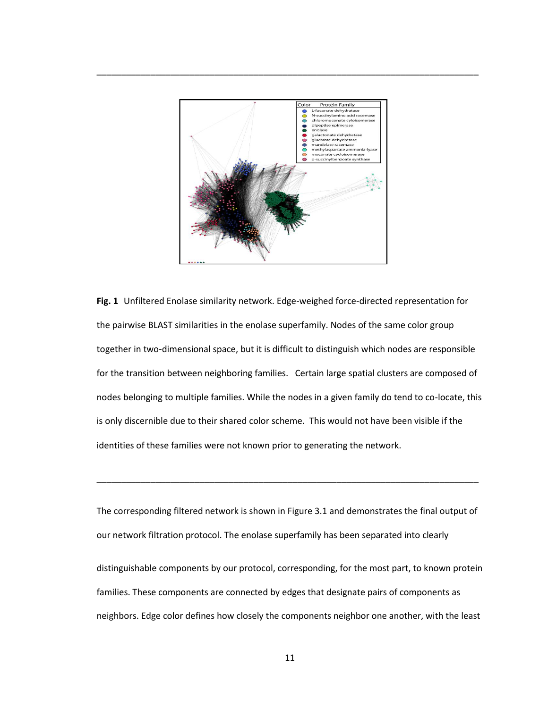

\_\_\_\_\_\_\_\_\_\_\_\_\_\_\_\_\_\_\_\_\_\_\_\_\_\_\_\_\_\_\_\_\_\_\_\_\_\_\_\_\_\_\_\_\_\_\_\_\_\_\_\_\_\_\_\_\_\_\_\_\_\_\_\_\_\_\_\_\_\_\_\_\_\_\_\_\_\_

**Fig. 1** Unfiltered Enolase similarity network. Edge-weighed force-directed representation for the pairwise BLAST similarities in the enolase superfamily. Nodes of the same color group together in two-dimensional space, but it is difficult to distinguish which nodes are responsible for the transition between neighboring families. Certain large spatial clusters are composed of nodes belonging to multiple families. While the nodes in a given family do tend to co-locate, this is only discernible due to their shared color scheme. This would not have been visible if the identities of these families were not known prior to generating the network.

The corresponding filtered network is shown in Figure 3.1 and demonstrates the final output of our network filtration protocol. The enolase superfamily has been separated into clearly distinguishable components by our protocol, corresponding, for the most part, to known protein families. These components are connected by edges that designate pairs of components as neighbors. Edge color defines how closely the components neighbor one another, with the least

\_\_\_\_\_\_\_\_\_\_\_\_\_\_\_\_\_\_\_\_\_\_\_\_\_\_\_\_\_\_\_\_\_\_\_\_\_\_\_\_\_\_\_\_\_\_\_\_\_\_\_\_\_\_\_\_\_\_\_\_\_\_\_\_\_\_\_\_\_\_\_\_\_\_\_\_\_\_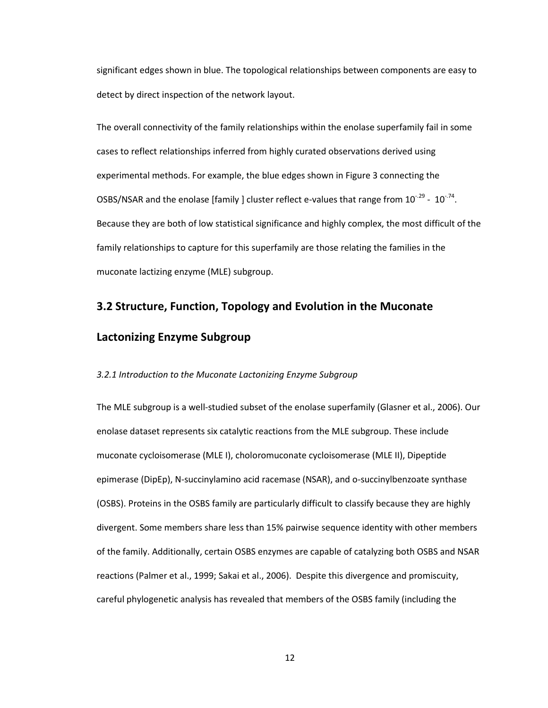significant edges shown in blue. The topological relationships between components are easy to detect by direct inspection of the network layout.

The overall connectivity of the family relationships within the enolase superfamily fail in some cases to reflect relationships inferred from highly curated observations derived using experimental methods. For example, the blue edges shown in Figure 3 connecting the OSBS/NSAR and the enolase [family ] cluster reflect e-values that range from  $10^{-29}$  -  $10^{-74}$ . Because they are both of low statistical significance and highly complex, the most difficult of the family relationships to capture for this superfamily are those relating the families in the muconate lactizing enzyme (MLE) subgroup.

## **3.2 Structure, Function, Topology and Evolution in the Muconate**

## **Lactonizing Enzyme Subgroup**

#### *3.2.1 Introduction to the Muconate Lactonizing Enzyme Subgroup*

The MLE subgroup is a well-studied subset of the enolase superfamily (Glasner et al., 2006). Our enolase dataset represents six catalytic reactions from the MLE subgroup. These include muconate cycloisomerase (MLE I), choloromuconate cycloisomerase (MLE II), Dipeptide epimerase (DipEp), N-succinylamino acid racemase (NSAR), and o-succinylbenzoate synthase (OSBS). Proteins in the OSBS family are particularly difficult to classify because they are highly divergent. Some members share less than 15% pairwise sequence identity with other members of the family. Additionally, certain OSBS enzymes are capable of catalyzing both OSBS and NSAR reactions (Palmer et al., 1999; Sakai et al., 2006). Despite this divergence and promiscuity, careful phylogenetic analysis has revealed that members of the OSBS family (including the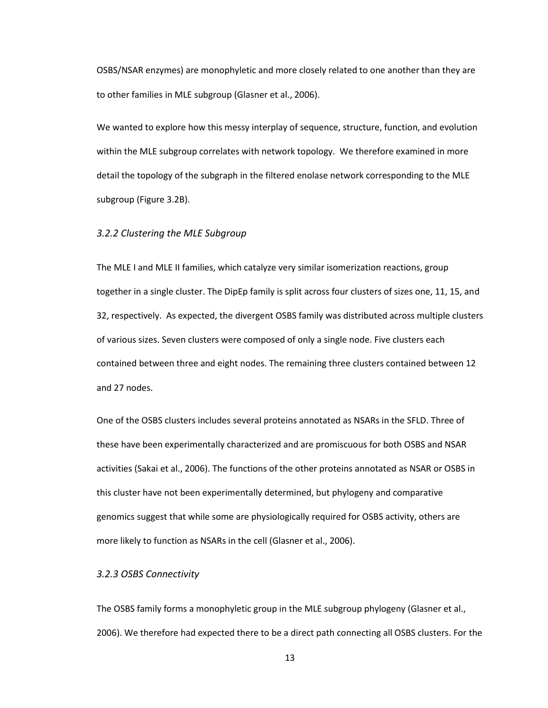OSBS/NSAR enzymes) are monophyletic and more closely related to one another than they are to other families in MLE subgroup (Glasner et al., 2006).

We wanted to explore how this messy interplay of sequence, structure, function, and evolution within the MLE subgroup correlates with network topology. We therefore examined in more detail the topology of the subgraph in the filtered enolase network corresponding to the MLE subgroup (Figure 3.2B).

#### *3.2.2 Clustering the MLE Subgroup*

The MLE I and MLE II families, which catalyze very similar isomerization reactions, group together in a single cluster. The DipEp family is split across four clusters of sizes one, 11, 15, and 32, respectively. As expected, the divergent OSBS family was distributed across multiple clusters of various sizes. Seven clusters were composed of only a single node. Five clusters each contained between three and eight nodes. The remaining three clusters contained between 12 and 27 nodes.

One of the OSBS clusters includes several proteins annotated as NSARs in the SFLD. Three of these have been experimentally characterized and are promiscuous for both OSBS and NSAR activities (Sakai et al., 2006). The functions of the other proteins annotated as NSAR or OSBS in this cluster have not been experimentally determined, but phylogeny and comparative genomics suggest that while some are physiologically required for OSBS activity, others are more likely to function as NSARs in the cell (Glasner et al., 2006).

#### *3.2.3 OSBS Connectivity*

The OSBS family forms a monophyletic group in the MLE subgroup phylogeny (Glasner et al., 2006). We therefore had expected there to be a direct path connecting all OSBS clusters. For the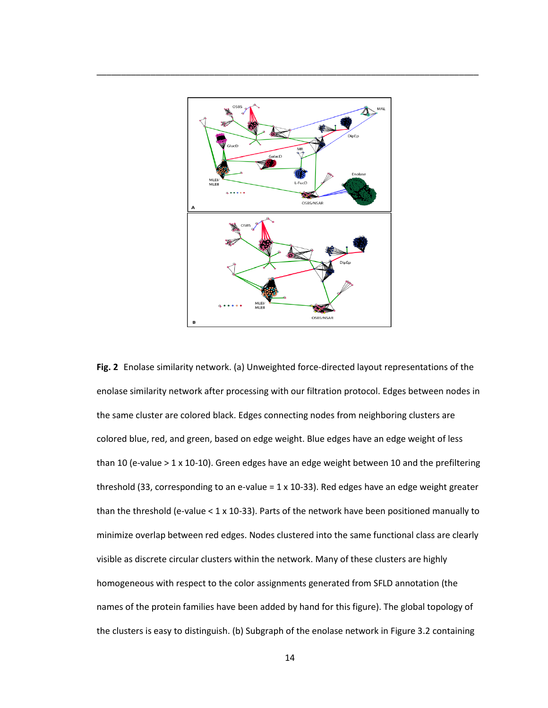

\_\_\_\_\_\_\_\_\_\_\_\_\_\_\_\_\_\_\_\_\_\_\_\_\_\_\_\_\_\_\_\_\_\_\_\_\_\_\_\_\_\_\_\_\_\_\_\_\_\_\_\_\_\_\_\_\_\_\_\_\_\_\_\_\_\_\_\_\_\_\_\_\_\_\_\_\_\_

**Fig. 2** Enolase similarity network. (a) Unweighted force-directed layout representations of the enolase similarity network after processing with our filtration protocol. Edges between nodes in the same cluster are colored black. Edges connecting nodes from neighboring clusters are colored blue, red, and green, based on edge weight. Blue edges have an edge weight of less than 10 (e-value > 1 x 10-10). Green edges have an edge weight between 10 and the prefiltering threshold (33, corresponding to an e-value = 1 x 10-33). Red edges have an edge weight greater than the threshold (e-value < 1 x 10-33). Parts of the network have been positioned manually to minimize overlap between red edges. Nodes clustered into the same functional class are clearly visible as discrete circular clusters within the network. Many of these clusters are highly homogeneous with respect to the color assignments generated from SFLD annotation (the names of the protein families have been added by hand for this figure). The global topology of the clusters is easy to distinguish. (b) Subgraph of the enolase network in Figure 3.2 containing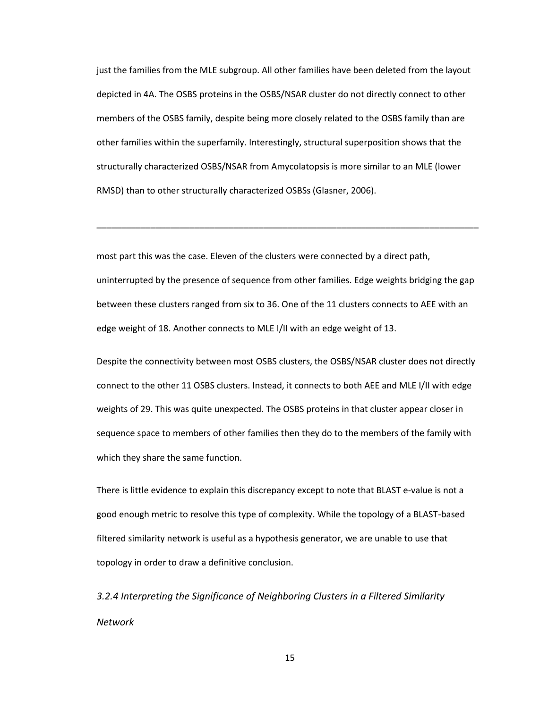just the families from the MLE subgroup. All other families have been deleted from the layout depicted in 4A. The OSBS proteins in the OSBS/NSAR cluster do not directly connect to other members of the OSBS family, despite being more closely related to the OSBS family than are other families within the superfamily. Interestingly, structural superposition shows that the structurally characterized OSBS/NSAR from Amycolatopsis is more similar to an MLE (lower RMSD) than to other structurally characterized OSBSs (Glasner, 2006).

most part this was the case. Eleven of the clusters were connected by a direct path, uninterrupted by the presence of sequence from other families. Edge weights bridging the gap between these clusters ranged from six to 36. One of the 11 clusters connects to AEE with an edge weight of 18. Another connects to MLE I/II with an edge weight of 13.

\_\_\_\_\_\_\_\_\_\_\_\_\_\_\_\_\_\_\_\_\_\_\_\_\_\_\_\_\_\_\_\_\_\_\_\_\_\_\_\_\_\_\_\_\_\_\_\_\_\_\_\_\_\_\_\_\_\_\_\_\_\_\_\_\_\_\_\_\_\_\_\_\_\_\_\_\_\_

Despite the connectivity between most OSBS clusters, the OSBS/NSAR cluster does not directly connect to the other 11 OSBS clusters. Instead, it connects to both AEE and MLE I/II with edge weights of 29. This was quite unexpected. The OSBS proteins in that cluster appear closer in sequence space to members of other families then they do to the members of the family with which they share the same function.

There is little evidence to explain this discrepancy except to note that BLAST e-value is not a good enough metric to resolve this type of complexity. While the topology of a BLAST-based filtered similarity network is useful as a hypothesis generator, we are unable to use that topology in order to draw a definitive conclusion.

*3.2.4 Interpreting the Significance of Neighboring Clusters in a Filtered Similarity Network*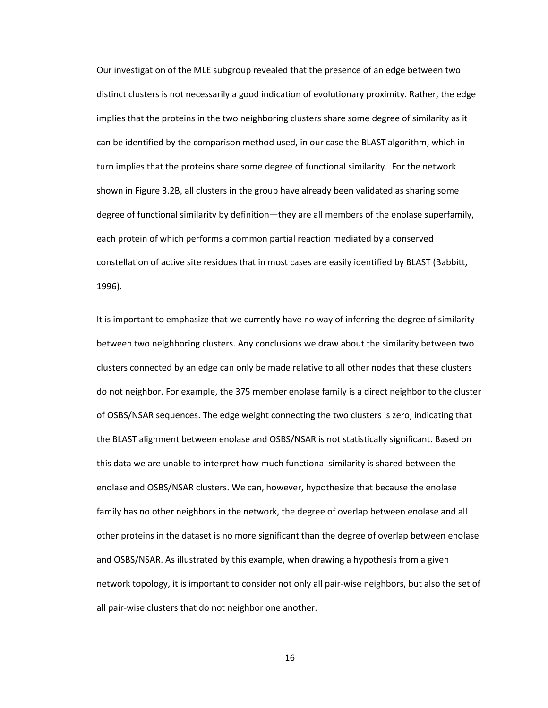Our investigation of the MLE subgroup revealed that the presence of an edge between two distinct clusters is not necessarily a good indication of evolutionary proximity. Rather, the edge implies that the proteins in the two neighboring clusters share some degree of similarity as it can be identified by the comparison method used, in our case the BLAST algorithm, which in turn implies that the proteins share some degree of functional similarity. For the network shown in Figure 3.2B, all clusters in the group have already been validated as sharing some degree of functional similarity by definition—they are all members of the enolase superfamily, each protein of which performs a common partial reaction mediated by a conserved constellation of active site residues that in most cases are easily identified by BLAST (Babbitt, 1996).

It is important to emphasize that we currently have no way of inferring the degree of similarity between two neighboring clusters. Any conclusions we draw about the similarity between two clusters connected by an edge can only be made relative to all other nodes that these clusters do not neighbor. For example, the 375 member enolase family is a direct neighbor to the cluster of OSBS/NSAR sequences. The edge weight connecting the two clusters is zero, indicating that the BLAST alignment between enolase and OSBS/NSAR is not statistically significant. Based on this data we are unable to interpret how much functional similarity is shared between the enolase and OSBS/NSAR clusters. We can, however, hypothesize that because the enolase family has no other neighbors in the network, the degree of overlap between enolase and all other proteins in the dataset is no more significant than the degree of overlap between enolase and OSBS/NSAR. As illustrated by this example, when drawing a hypothesis from a given network topology, it is important to consider not only all pair-wise neighbors, but also the set of all pair-wise clusters that do not neighbor one another.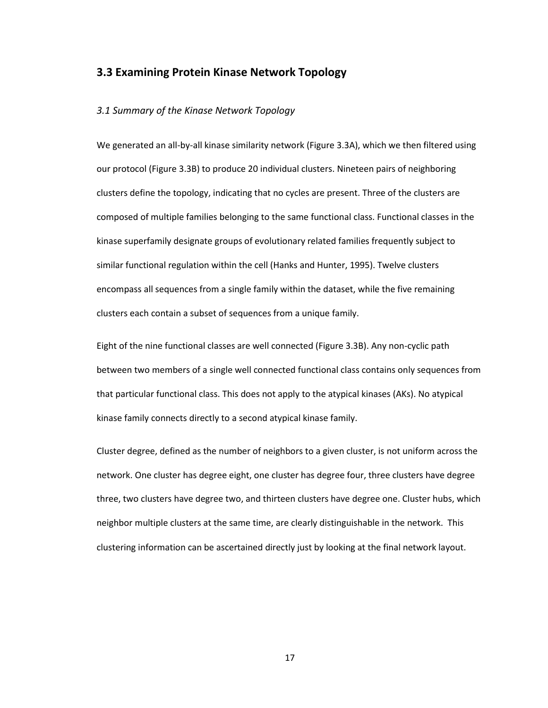# **3.3 Examining Protein Kinase Network Topology**

#### *3.1 Summary of the Kinase Network Topology*

We generated an all-by-all kinase similarity network (Figure 3.3A), which we then filtered using our protocol (Figure 3.3B) to produce 20 individual clusters. Nineteen pairs of neighboring clusters define the topology, indicating that no cycles are present. Three of the clusters are composed of multiple families belonging to the same functional class. Functional classes in the kinase superfamily designate groups of evolutionary related families frequently subject to similar functional regulation within the cell (Hanks and Hunter, 1995). Twelve clusters encompass all sequences from a single family within the dataset, while the five remaining clusters each contain a subset of sequences from a unique family.

Eight of the nine functional classes are well connected (Figure 3.3B). Any non-cyclic path between two members of a single well connected functional class contains only sequences from that particular functional class. This does not apply to the atypical kinases (AKs). No atypical kinase family connects directly to a second atypical kinase family.

Cluster degree, defined as the number of neighbors to a given cluster, is not uniform across the network. One cluster has degree eight, one cluster has degree four, three clusters have degree three, two clusters have degree two, and thirteen clusters have degree one. Cluster hubs, which neighbor multiple clusters at the same time, are clearly distinguishable in the network. This clustering information can be ascertained directly just by looking at the final network layout.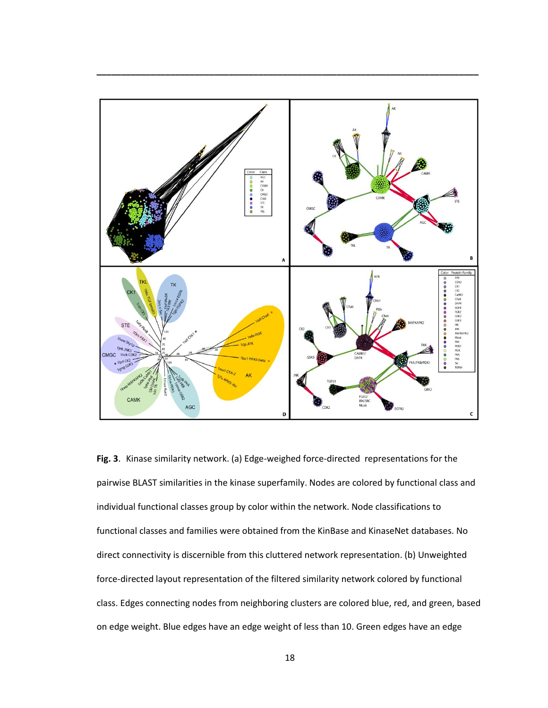

**\_\_\_\_\_\_\_\_\_\_\_\_\_\_\_\_\_\_\_\_\_\_\_\_\_\_\_\_\_\_\_\_\_\_\_\_\_\_\_\_\_\_\_\_\_\_\_\_\_\_\_\_\_\_\_\_\_\_\_\_\_\_\_\_\_\_\_\_\_\_\_\_\_\_\_\_\_\_**

**Fig. 3**. Kinase similarity network. (a) Edge-weighed force-directed representations for the pairwise BLAST similarities in the kinase superfamily. Nodes are colored by functional class and individual functional classes group by color within the network. Node classifications to functional classes and families were obtained from the KinBase and KinaseNet databases. No direct connectivity is discernible from this cluttered network representation. (b) Unweighted force-directed layout representation of the filtered similarity network colored by functional class. Edges connecting nodes from neighboring clusters are colored blue, red, and green, based on edge weight. Blue edges have an edge weight of less than 10. Green edges have an edge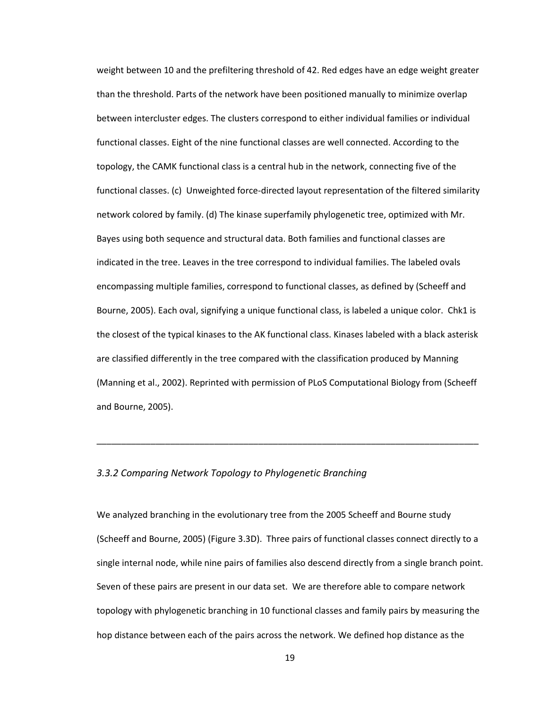weight between 10 and the prefiltering threshold of 42. Red edges have an edge weight greater than the threshold. Parts of the network have been positioned manually to minimize overlap between intercluster edges. The clusters correspond to either individual families or individual functional classes. Eight of the nine functional classes are well connected. According to the topology, the CAMK functional class is a central hub in the network, connecting five of the functional classes. (c) Unweighted force-directed layout representation of the filtered similarity network colored by family. (d) The kinase superfamily phylogenetic tree, optimized with Mr. Bayes using both sequence and structural data. Both families and functional classes are indicated in the tree. Leaves in the tree correspond to individual families. The labeled ovals encompassing multiple families, correspond to functional classes, as defined by (Scheeff and Bourne, 2005). Each oval, signifying a unique functional class, is labeled a unique color. Chk1 is the closest of the typical kinases to the AK functional class. Kinases labeled with a black asterisk are classified differently in the tree compared with the classification produced by Manning (Manning et al., 2002). Reprinted with permission of PLoS Computational Biology from (Scheeff and Bourne, 2005).

#### *3.3.2 Comparing Network Topology to Phylogenetic Branching*

We analyzed branching in the evolutionary tree from the 2005 Scheeff and Bourne study (Scheeff and Bourne, 2005) (Figure 3.3D). Three pairs of functional classes connect directly to a single internal node, while nine pairs of families also descend directly from a single branch point. Seven of these pairs are present in our data set. We are therefore able to compare network topology with phylogenetic branching in 10 functional classes and family pairs by measuring the hop distance between each of the pairs across the network. We defined hop distance as the

\_\_\_\_\_\_\_\_\_\_\_\_\_\_\_\_\_\_\_\_\_\_\_\_\_\_\_\_\_\_\_\_\_\_\_\_\_\_\_\_\_\_\_\_\_\_\_\_\_\_\_\_\_\_\_\_\_\_\_\_\_\_\_\_\_\_\_\_\_\_\_\_\_\_\_\_\_\_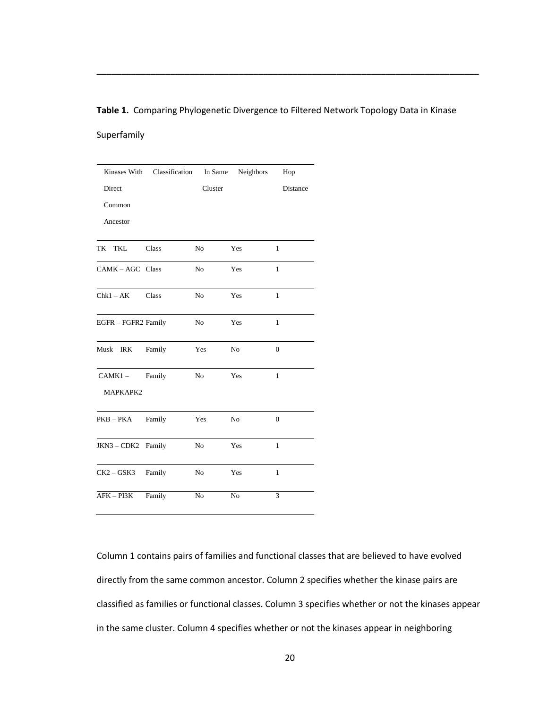#### **Table 1.** Comparing Phylogenetic Divergence to Filtered Network Topology Data in Kinase

**\_\_\_\_\_\_\_\_\_\_\_\_\_\_\_\_\_\_\_\_\_\_\_\_\_\_\_\_\_\_\_\_\_\_\_\_\_\_\_\_\_\_\_\_\_\_\_\_\_\_\_\_\_\_\_\_\_\_\_\_\_\_\_\_\_\_\_\_\_\_\_\_\_\_\_\_\_\_**

#### Superfamily

|                     | Kinases With Classification | In Same        | Neighbors      | Hop              |
|---------------------|-----------------------------|----------------|----------------|------------------|
| Direct              |                             | Cluster        |                | Distance         |
| Common              |                             |                |                |                  |
| Ancestor            |                             |                |                |                  |
| $TK-TKL$            | <b>Class</b>                | N <sub>o</sub> | Yes            | $\mathbf{1}$     |
| CAMK-AGC Class      |                             | No             | Yes            | 1                |
| $Chk1 - AK$ Class   |                             | N <sub>o</sub> | Yes            | $\mathbf{1}$     |
| EGFR - FGFR2 Family |                             | No             | Yes            | 1                |
| $Musk - IRK$ Family |                             | Yes            | N <sub>o</sub> | $\mathbf{0}$     |
| $CAMK1 -$           | Family                      | No             | Yes            | $\mathbf{1}$     |
| MAPKAPK2            |                             |                |                |                  |
| PKB – PKA           | Family                      | Yes            | No             | $\boldsymbol{0}$ |
| JKN3-CDK2 Family    |                             | No             | Yes            | 1                |
| CK2 – GSK3          | Family                      | No             | Yes            | $\mathbf{1}$     |
| $AFK - PI3K$        | Family                      | $\rm No$       | No             | 3                |

Column 1 contains pairs of families and functional classes that are believed to have evolved directly from the same common ancestor. Column 2 specifies whether the kinase pairs are classified as families or functional classes. Column 3 specifies whether or not the kinases appear in the same cluster. Column 4 specifies whether or not the kinases appear in neighboring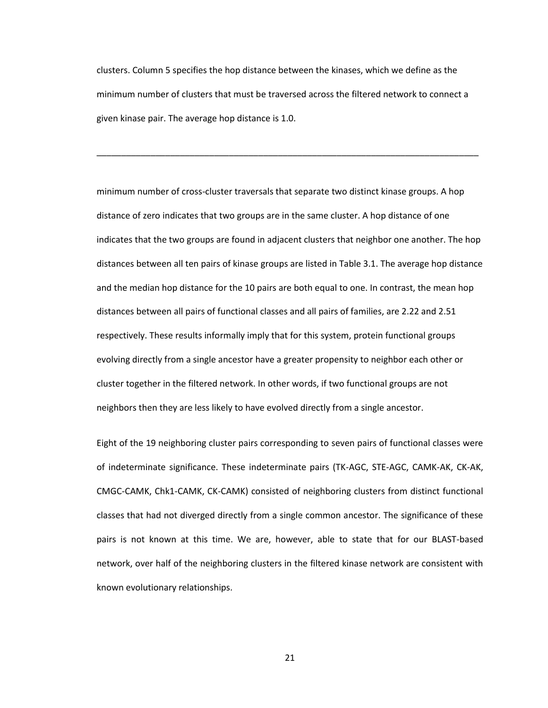clusters. Column 5 specifies the hop distance between the kinases, which we define as the minimum number of clusters that must be traversed across the filtered network to connect a given kinase pair. The average hop distance is 1.0.

\_\_\_\_\_\_\_\_\_\_\_\_\_\_\_\_\_\_\_\_\_\_\_\_\_\_\_\_\_\_\_\_\_\_\_\_\_\_\_\_\_\_\_\_\_\_\_\_\_\_\_\_\_\_\_\_\_\_\_\_\_\_\_\_\_\_\_\_\_\_\_\_\_\_\_\_\_\_

minimum number of cross-cluster traversals that separate two distinct kinase groups. A hop distance of zero indicates that two groups are in the same cluster. A hop distance of one indicates that the two groups are found in adjacent clusters that neighbor one another. The hop distances between all ten pairs of kinase groups are listed in Table 3.1. The average hop distance and the median hop distance for the 10 pairs are both equal to one. In contrast, the mean hop distances between all pairs of functional classes and all pairs of families, are 2.22 and 2.51 respectively. These results informally imply that for this system, protein functional groups evolving directly from a single ancestor have a greater propensity to neighbor each other or cluster together in the filtered network. In other words, if two functional groups are not neighbors then they are less likely to have evolved directly from a single ancestor.

Eight of the 19 neighboring cluster pairs corresponding to seven pairs of functional classes were of indeterminate significance. These indeterminate pairs (TK-AGC, STE-AGC, CAMK-AK, CK-AK, CMGC-CAMK, Chk1-CAMK, CK-CAMK) consisted of neighboring clusters from distinct functional classes that had not diverged directly from a single common ancestor. The significance of these pairs is not known at this time. We are, however, able to state that for our BLAST-based network, over half of the neighboring clusters in the filtered kinase network are consistent with known evolutionary relationships.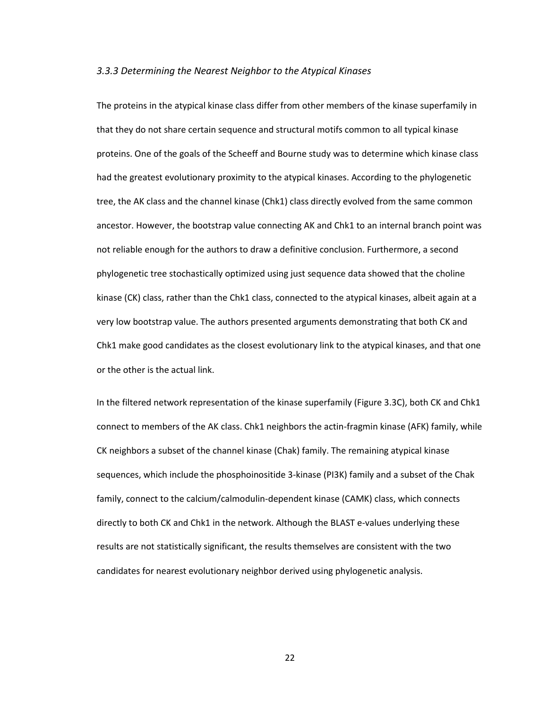#### *3.3.3 Determining the Nearest Neighbor to the Atypical Kinases*

The proteins in the atypical kinase class differ from other members of the kinase superfamily in that they do not share certain sequence and structural motifs common to all typical kinase proteins. One of the goals of the Scheeff and Bourne study was to determine which kinase class had the greatest evolutionary proximity to the atypical kinases. According to the phylogenetic tree, the AK class and the channel kinase (Chk1) class directly evolved from the same common ancestor. However, the bootstrap value connecting AK and Chk1 to an internal branch point was not reliable enough for the authors to draw a definitive conclusion. Furthermore, a second phylogenetic tree stochastically optimized using just sequence data showed that the choline kinase (CK) class, rather than the Chk1 class, connected to the atypical kinases, albeit again at a very low bootstrap value. The authors presented arguments demonstrating that both CK and Chk1 make good candidates as the closest evolutionary link to the atypical kinases, and that one or the other is the actual link.

In the filtered network representation of the kinase superfamily (Figure 3.3C), both CK and Chk1 connect to members of the AK class. Chk1 neighbors the actin-fragmin kinase (AFK) family, while CK neighbors a subset of the channel kinase (Chak) family. The remaining atypical kinase sequences, which include the phosphoinositide 3-kinase (PI3K) family and a subset of the Chak family, connect to the calcium/calmodulin-dependent kinase (CAMK) class, which connects directly to both CK and Chk1 in the network. Although the BLAST e-values underlying these results are not statistically significant, the results themselves are consistent with the two candidates for nearest evolutionary neighbor derived using phylogenetic analysis.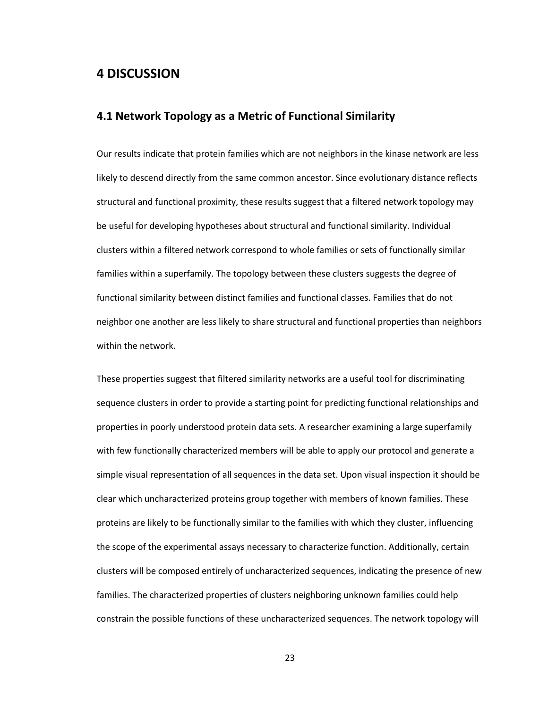# **4 DISCUSSION**

## **4.1 Network Topology as a Metric of Functional Similarity**

Our results indicate that protein families which are not neighbors in the kinase network are less likely to descend directly from the same common ancestor. Since evolutionary distance reflects structural and functional proximity, these results suggest that a filtered network topology may be useful for developing hypotheses about structural and functional similarity. Individual clusters within a filtered network correspond to whole families or sets of functionally similar families within a superfamily. The topology between these clusters suggests the degree of functional similarity between distinct families and functional classes. Families that do not neighbor one another are less likely to share structural and functional properties than neighbors within the network.

These properties suggest that filtered similarity networks are a useful tool for discriminating sequence clusters in order to provide a starting point for predicting functional relationships and properties in poorly understood protein data sets. A researcher examining a large superfamily with few functionally characterized members will be able to apply our protocol and generate a simple visual representation of all sequences in the data set. Upon visual inspection it should be clear which uncharacterized proteins group together with members of known families. These proteins are likely to be functionally similar to the families with which they cluster, influencing the scope of the experimental assays necessary to characterize function. Additionally, certain clusters will be composed entirely of uncharacterized sequences, indicating the presence of new families. The characterized properties of clusters neighboring unknown families could help constrain the possible functions of these uncharacterized sequences. The network topology will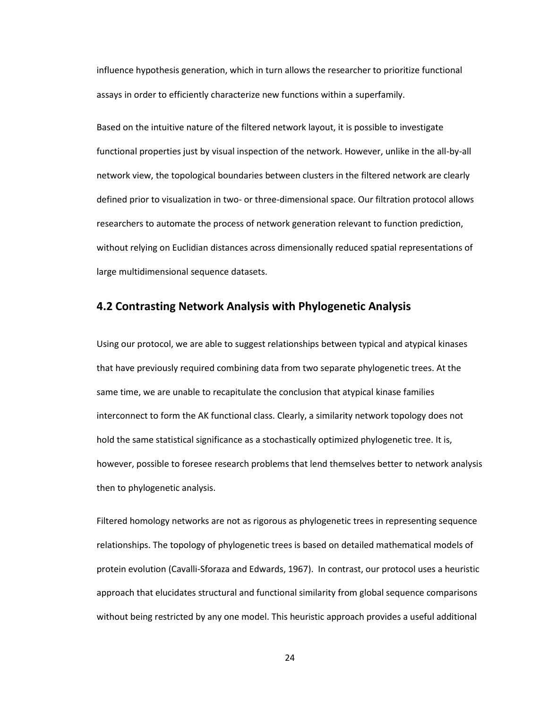influence hypothesis generation, which in turn allows the researcher to prioritize functional assays in order to efficiently characterize new functions within a superfamily.

Based on the intuitive nature of the filtered network layout, it is possible to investigate functional properties just by visual inspection of the network. However, unlike in the all-by-all network view, the topological boundaries between clusters in the filtered network are clearly defined prior to visualization in two- or three-dimensional space. Our filtration protocol allows researchers to automate the process of network generation relevant to function prediction, without relying on Euclidian distances across dimensionally reduced spatial representations of large multidimensional sequence datasets.

## **4.2 Contrasting Network Analysis with Phylogenetic Analysis**

Using our protocol, we are able to suggest relationships between typical and atypical kinases that have previously required combining data from two separate phylogenetic trees. At the same time, we are unable to recapitulate the conclusion that atypical kinase families interconnect to form the AK functional class. Clearly, a similarity network topology does not hold the same statistical significance as a stochastically optimized phylogenetic tree. It is, however, possible to foresee research problems that lend themselves better to network analysis then to phylogenetic analysis.

Filtered homology networks are not as rigorous as phylogenetic trees in representing sequence relationships. The topology of phylogenetic trees is based on detailed mathematical models of protein evolution (Cavalli-Sforaza and Edwards, 1967). In contrast, our protocol uses a heuristic approach that elucidates structural and functional similarity from global sequence comparisons without being restricted by any one model. This heuristic approach provides a useful additional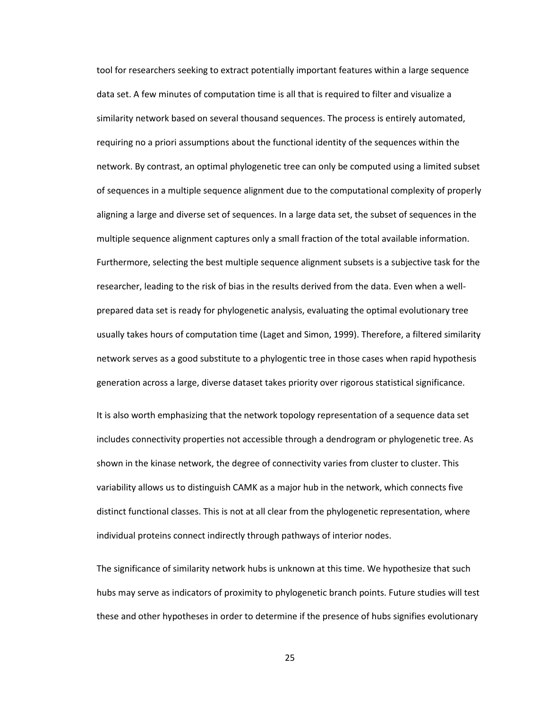tool for researchers seeking to extract potentially important features within a large sequence data set. A few minutes of computation time is all that is required to filter and visualize a similarity network based on several thousand sequences. The process is entirely automated, requiring no a priori assumptions about the functional identity of the sequences within the network. By contrast, an optimal phylogenetic tree can only be computed using a limited subset of sequences in a multiple sequence alignment due to the computational complexity of properly aligning a large and diverse set of sequences. In a large data set, the subset of sequences in the multiple sequence alignment captures only a small fraction of the total available information. Furthermore, selecting the best multiple sequence alignment subsets is a subjective task for the researcher, leading to the risk of bias in the results derived from the data. Even when a wellprepared data set is ready for phylogenetic analysis, evaluating the optimal evolutionary tree usually takes hours of computation time (Laget and Simon, 1999). Therefore, a filtered similarity network serves as a good substitute to a phylogentic tree in those cases when rapid hypothesis generation across a large, diverse dataset takes priority over rigorous statistical significance.

It is also worth emphasizing that the network topology representation of a sequence data set includes connectivity properties not accessible through a dendrogram or phylogenetic tree. As shown in the kinase network, the degree of connectivity varies from cluster to cluster. This variability allows us to distinguish CAMK as a major hub in the network, which connects five distinct functional classes. This is not at all clear from the phylogenetic representation, where individual proteins connect indirectly through pathways of interior nodes.

The significance of similarity network hubs is unknown at this time. We hypothesize that such hubs may serve as indicators of proximity to phylogenetic branch points. Future studies will test these and other hypotheses in order to determine if the presence of hubs signifies evolutionary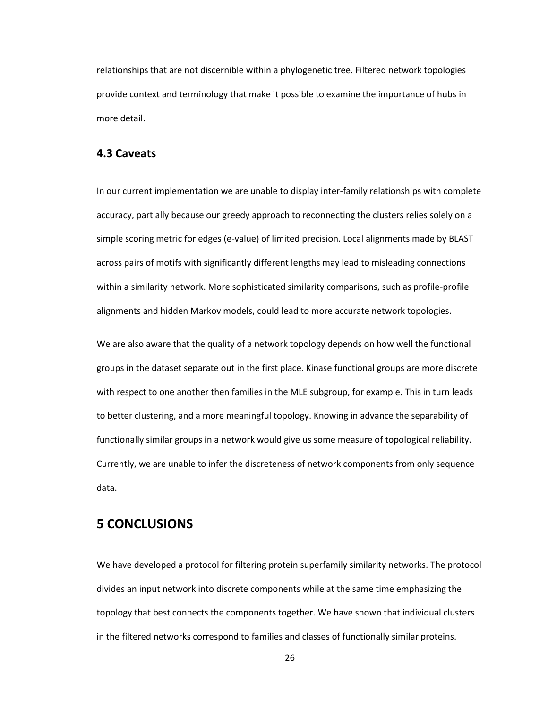relationships that are not discernible within a phylogenetic tree. Filtered network topologies provide context and terminology that make it possible to examine the importance of hubs in more detail.

### **4.3 Caveats**

In our current implementation we are unable to display inter-family relationships with complete accuracy, partially because our greedy approach to reconnecting the clusters relies solely on a simple scoring metric for edges (e-value) of limited precision. Local alignments made by BLAST across pairs of motifs with significantly different lengths may lead to misleading connections within a similarity network. More sophisticated similarity comparisons, such as profile-profile alignments and hidden Markov models, could lead to more accurate network topologies.

We are also aware that the quality of a network topology depends on how well the functional groups in the dataset separate out in the first place. Kinase functional groups are more discrete with respect to one another then families in the MLE subgroup, for example. This in turn leads to better clustering, and a more meaningful topology. Knowing in advance the separability of functionally similar groups in a network would give us some measure of topological reliability. Currently, we are unable to infer the discreteness of network components from only sequence data.

# **5 CONCLUSIONS**

We have developed a protocol for filtering protein superfamily similarity networks. The protocol divides an input network into discrete components while at the same time emphasizing the topology that best connects the components together. We have shown that individual clusters in the filtered networks correspond to families and classes of functionally similar proteins.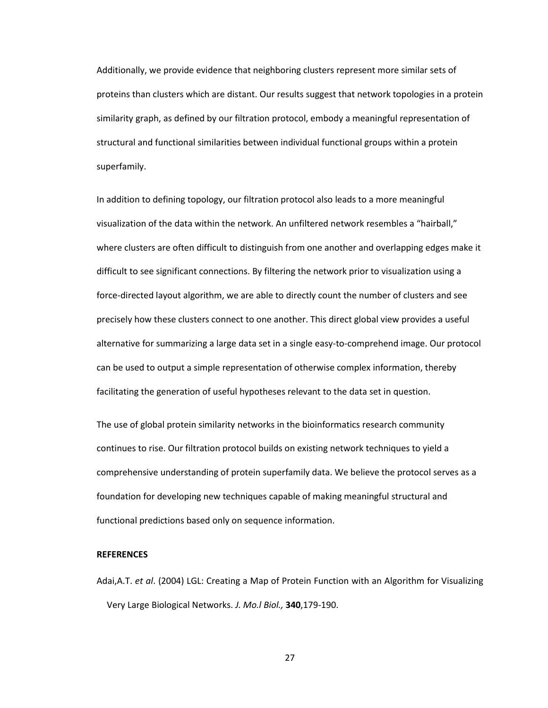Additionally, we provide evidence that neighboring clusters represent more similar sets of proteins than clusters which are distant. Our results suggest that network topologies in a protein similarity graph, as defined by our filtration protocol, embody a meaningful representation of structural and functional similarities between individual functional groups within a protein superfamily.

In addition to defining topology, our filtration protocol also leads to a more meaningful visualization of the data within the network. An unfiltered network resembles a "hairball," where clusters are often difficult to distinguish from one another and overlapping edges make it difficult to see significant connections. By filtering the network prior to visualization using a force-directed layout algorithm, we are able to directly count the number of clusters and see precisely how these clusters connect to one another. This direct global view provides a useful alternative for summarizing a large data set in a single easy-to-comprehend image. Our protocol can be used to output a simple representation of otherwise complex information, thereby facilitating the generation of useful hypotheses relevant to the data set in question.

The use of global protein similarity networks in the bioinformatics research community continues to rise. Our filtration protocol builds on existing network techniques to yield a comprehensive understanding of protein superfamily data. We believe the protocol serves as a foundation for developing new techniques capable of making meaningful structural and functional predictions based only on sequence information.

#### **REFERENCES**

Adai,A.T. *et al*. (2004) LGL: Creating a Map of Protein Function with an Algorithm for Visualizing Very Large Biological Networks. *J. Mo.l Biol.,* **340**,179-190.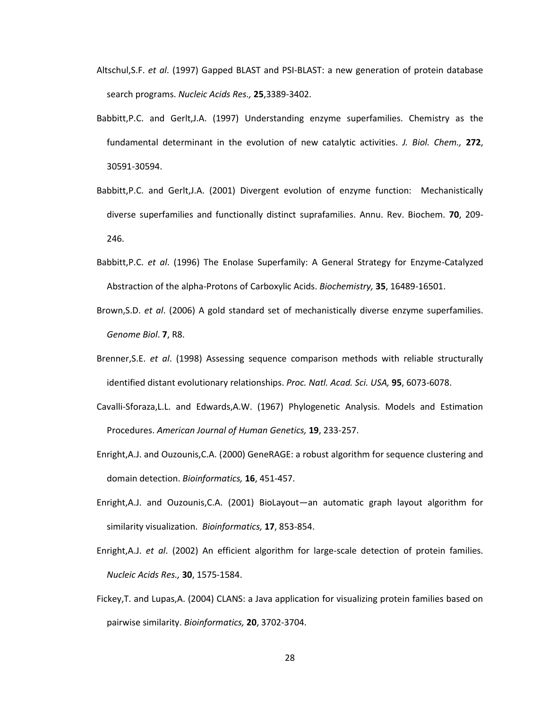- Altschul,S.F. *et al*. (1997) Gapped BLAST and PSI-BLAST: a new generation of protein database search programs. *Nucleic Acids Res.,* **25**,3389-3402.
- Babbitt,P.C. and Gerlt,J.A. (1997) Understanding enzyme superfamilies. Chemistry as the fundamental determinant in the evolution of new catalytic activities. *J. Biol. Chem.,* **272**, 30591-30594.
- Babbitt,P.C. and Gerlt,J.A. (2001) Divergent evolution of enzyme function: Mechanistically diverse superfamilies and functionally distinct suprafamilies. Annu. Rev. Biochem. **70**, 209- 246.
- Babbitt,P.C. *et al*. (1996) The Enolase Superfamily: A General Strategy for Enzyme-Catalyzed Abstraction of the alpha-Protons of Carboxylic Acids. *Biochemistry,* **35**, 16489-16501.
- Brown,S.D. *et al*. (2006) A gold standard set of mechanistically diverse enzyme superfamilies. *Genome Biol*. **7**, R8.
- Brenner,S.E. *et al*. (1998) Assessing sequence comparison methods with reliable structurally identified distant evolutionary relationships. *Proc. Natl. Acad. Sci. USA,* **95**, 6073-6078.
- Cavalli-Sforaza,L.L. and Edwards,A.W. (1967) Phylogenetic Analysis. Models and Estimation Procedures. *American Journal of Human Genetics,* **19**, 233-257.
- Enright,A.J. and Ouzounis,C.A. (2000) GeneRAGE: a robust algorithm for sequence clustering and domain detection. *Bioinformatics,* **16**, 451-457.
- Enright,A.J. and Ouzounis,C.A. (2001) BioLayout—an automatic graph layout algorithm for similarity visualization. *Bioinformatics,* **17**, 853-854.
- Enright,A.J. *et al*. (2002) An efficient algorithm for large-scale detection of protein families. *Nucleic Acids Res.,* **30**, 1575-1584.
- Fickey,T. and Lupas,A. (2004) CLANS: a Java application for visualizing protein families based on pairwise similarity. *Bioinformatics,* **20**, 3702-3704.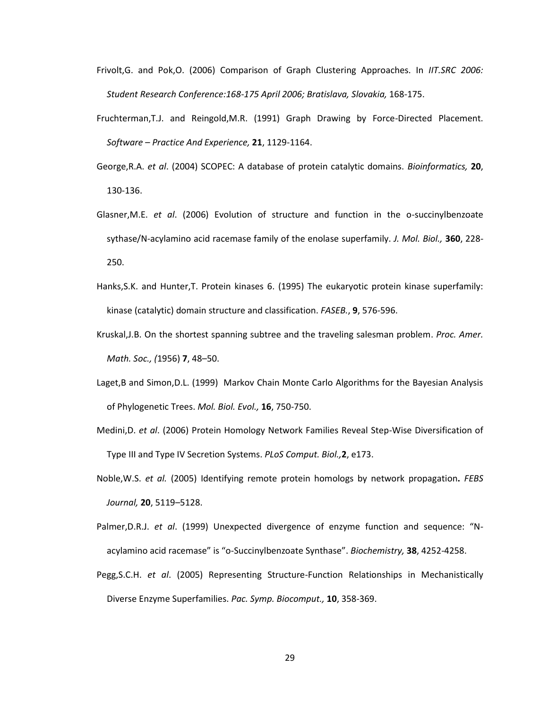- Frivolt,G. and Pok,O. (2006) Comparison of Graph Clustering Approaches. In *IIT.SRC 2006: Student Research Conference:168-175 April 2006; Bratislava, Slovakia,* 168-175.
- Fruchterman,T.J. and Reingold,M.R. (1991) Graph Drawing by Force-Directed Placement. *Software – Practice And Experience,* **21**, 1129-1164.
- George,R.A. *et al*. (2004) SCOPEC: A database of protein catalytic domains. *Bioinformatics,* **20**, 130-136.
- Glasner,M.E. *et al*. (2006) Evolution of structure and function in the o-succinylbenzoate sythase/N-acylamino acid racemase family of the enolase superfamily. *J. Mol. Biol.,* **360**, 228- 250.
- Hanks,S.K. and Hunter,T. Protein kinases 6. (1995) The eukaryotic protein kinase superfamily: kinase (catalytic) domain structure and classification. *FASEB.*, **9**, 576-596.
- Kruskal,J.B. On the shortest spanning subtree and the traveling salesman problem. *Proc. Amer. Math. Soc., (*1956) **7**, 48–50.
- Laget,B and Simon,D.L. (1999) Markov Chain Monte Carlo Algorithms for the Bayesian Analysis of Phylogenetic Trees. *Mol. Biol. Evol.,* **16**, 750-750.
- Medini,D. *et al*. (2006) Protein Homology Network Families Reveal Step-Wise Diversification of Type III and Type IV Secretion Systems. *PLoS Comput. Biol.,***2**, e173.
- Noble,W.S. *et al.* (2005) Identifying remote protein homologs by network propagation**.** *FEBS Journal,* **20**, 5119–5128.
- Palmer,D.R.J. *et al*. (1999) Unexpected divergence of enzyme function and sequence: "Nacylamino acid racemase" is "o-Succinylbenzoate Synthase". *Biochemistry,* **38**, 4252-4258.
- Pegg,S.C.H. *et al*. (2005) Representing Structure-Function Relationships in Mechanistically Diverse Enzyme Superfamilies. *Pac. Symp. Biocomput.,* **10**, 358-369.